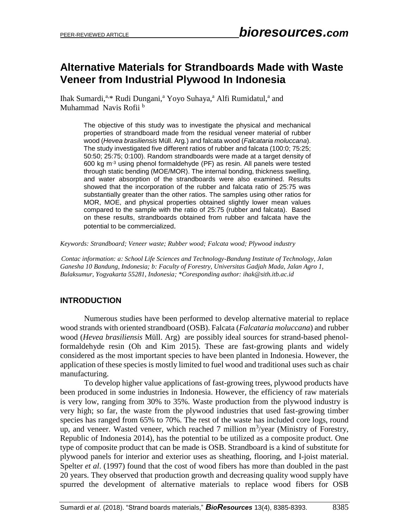# **Alternative Materials for Strandboards Made with Waste Veneer from Industrial Plywood In Indonesia**

Ihak Sumardi,<sup>a,\*</sup> Rudi Dungani,<sup>a</sup> Yoyo Suhaya,<sup>a</sup> Alfi Rumidatul,<sup>a</sup> and Muhammad Navis Rofii<sup>b</sup>

> The objective of this study was to investigate the physical and mechanical properties of strandboard made from the residual veneer material of rubber wood (*Hevea brasiliensis* Müll. Arg*.*) and falcata wood (*Falcataria moluccana*). The study investigated five different ratios of rubber and falcata (100:0; 75:25; 50:50; 25:75; 0:100). Random strandboards were made at a target density of 600 kg m-3 using phenol formaldehyde (PF) as resin. All panels were tested through static bending (MOE/MOR). The internal bonding, thickness swelling, and water absorption of the strandboards were also examined. Results showed that the incorporation of the rubber and falcata ratio of 25:75 was substantially greater than the other ratios. The samples using other ratios for MOR, MOE, and physical properties obtained slightly lower mean values compared to the sample with the ratio of 25:75 (rubber and falcata). Based on these results, strandboards obtained from rubber and falcata have the potential to be commercialized.

*Keywords: Strandboard; Veneer waste; Rubber wood; Falcata wood; Plywood industry*

*Contac information: a: School Life Sciences and Technology-Bandung Institute of Technology, Jalan Ganesha 10 Bandung, Indonesia; b: Faculty of Forestry, Universitas Gadjah Mada, Jalan Agro 1, Bulaksumur, Yogyakarta 55281, Indonesia; \*Coresponding author: [ihak@sith.itb.ac.id](mailto:ihak@sith.itb.ac.id)*

## **INTRODUCTION**

Numerous studies have been performed to develop alternative material to replace wood strands with oriented strandboard (OSB). Falcata (*Falcataria moluccana*) and rubber wood (*Hevea brasiliensis* Müll. Arg) are possibly ideal sources for strand-based phenolformaldehyde resin (Oh and Kim 2015). These are fast-growing plants and widely considered as the most important species to have been planted in Indonesia. However, the application of these species is mostly limited to fuel wood and traditional uses such as chair manufacturing.

To develop higher value applications of fast-growing trees, plywood products have been produced in some industries in Indonesia. However, the efficiency of raw materials is very low, ranging from 30% to 35%. Waste production from the plywood industry is very high; so far, the waste from the plywood industries that used fast-growing timber species has ranged from 65% to 70%. The rest of the waste has included core logs, round up, and veneer. Wasted veneer, which reached  $7$  million  $m^3$ /year (Ministry of Forestry, Republic of Indonesia 2014), has the potential to be utilized as a composite product. One type of composite product that can be made is OSB. Strandboard is a kind of substitute for plywood panels for interior and exterior uses as sheathing, flooring, and I-joist material. Spelter *et al.* (1997) found that the cost of wood fibers has more than doubled in the past 20 years. They observed that production growth and decreasing quality wood supply have spurred the development of alternative materials to replace wood fibers for OSB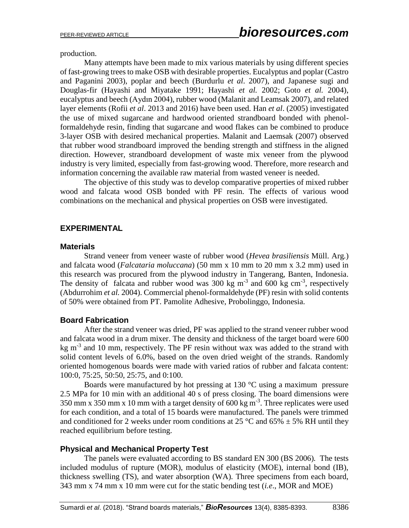production.

Many attempts have been made to mix various materials by using different species of fast-growing trees to make OSB with desirable properties. Eucalyptus and poplar (Castro and Paganini 2003), poplar and beech (Burdurlu *et al*. 2007), and Japanese sugi and Douglas-fir (Hayashi and Miyatake 1991; Hayashi *et al.* 2002; Goto *et al.* 2004), eucalyptus and beech (Aydın 2004), rubber wood (Malanit and Leamsak 2007), and related layer elements (Rofii *et al*. 2013 and 2016) have been used. Han *et al*. (2005) investigated the use of mixed sugarcane and hardwood oriented strandboard bonded with phenolformaldehyde resin, finding that sugarcane and wood flakes can be combined to produce 3-layer OSB with desired mechanical properties. Malanit and Laemsak (2007) observed that rubber wood strandboard improved the bending strength and stiffness in the aligned direction. However, strandboard development of waste mix veneer from the plywood industry is very limited, especially from fast-growing wood. Therefore, more research and information concerning the available raw material from wasted veneer is needed.

The objective of this study was to develop comparative properties of mixed rubber wood and falcata wood OSB bonded with PF resin. The effects of various wood combinations on the mechanical and physical properties on OSB were investigated.

## **EXPERIMENTAL**

#### **Materials**

Strand veneer from veneer waste of rubber wood (*Hevea brasiliensis* Müll. Arg*.*) and falcata wood (*Falcataria moluccana*) (50 mm x 10 mm to 20 mm x 3.2 mm) used in this research was procured from the plywood industry in Tangerang, Banten, Indonesia. The density of falcata and rubber wood was 300 kg  $m^{-3}$  and 600 kg cm<sup>-3</sup>, respectively (Abdurrohim *et al.* 2004). Commercial phenol-formaldehyde (PF) resin with solid contents of 50% were obtained from PT. Pamolite Adhesive, Probolinggo, Indonesia.

### **Board Fabrication**

After the strand veneer was dried, PF was applied to the strand veneer rubber wood and falcata wood in a drum mixer. The density and thickness of the target board were 600 kg  $m<sup>3</sup>$  and 10 mm, respectively. The PF resin without wax was added to the strand with solid content levels of 6.0%, based on the oven dried weight of the strands. Randomly oriented homogenous boards were made with varied ratios of rubber and falcata content: 100:0, 75:25, 50:50, 25:75, and 0:100.

Boards were manufactured by hot pressing at 130  $^{\circ}$ C using a maximum pressure 2.5 MPa for 10 min with an additional 40 s of press closing. The board dimensions were 350 mm x 350 mm x 10 mm with a target density of 600 kg m<sup>-3</sup>. Three replicates were used for each condition, and a total of 15 boards were manufactured. The panels were trimmed and conditioned for 2 weeks under room conditions at 25 °C and 65%  $\pm$  5% RH until they reached equilibrium before testing.

### **Physical and Mechanical Property Test**

The panels were evaluated according to BS standard EN 300 (BS 2006)*.* The tests included modulus of rupture (MOR), modulus of elasticity (MOE), internal bond (IB), thickness swelling (TS), and water absorption (WA). Three specimens from each board, 343 mm x 74 mm x 10 mm were cut for the static bending test (*i.e*., MOR and MOE)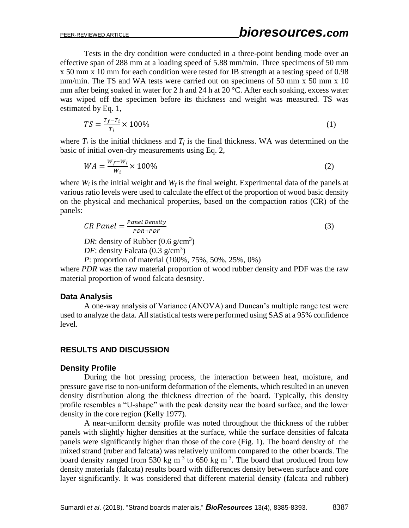Tests in the dry condition were conducted in a three-point bending mode over an effective span of 288 mm at a loading speed of 5.88 mm/min. Three specimens of 50 mm x 50 mm x 10 mm for each condition were tested for IB strength at a testing speed of 0.98 mm/min. The TS and WA tests were carried out on specimens of 50 mm x 50 mm x 10 mm after being soaked in water for 2 h and 24 h at 20 °C. After each soaking, excess water was wiped off the specimen before its thickness and weight was measured. TS was estimated by Eq. 1,

$$
TS = \frac{T_f - T_i}{T_i} \times 100\% \tag{1}
$$

where  $T_i$  is the initial thickness and  $T_f$  is the final thickness. WA was determined on the basic of initial oven-dry measurements using Eq. 2,

$$
WA = \frac{W_f - W_i}{W_i} \times 100\%
$$
\n<sup>(2)</sup>

where *W<sup>i</sup>* is the initial weight and *W<sup>f</sup>* is the final weight. Experimental data of the panels at various ratio levels were used to calculate the effect of the proportion of wood basic density on the physical and mechanical properties, based on the compaction ratios (CR) of the panels:

$$
CR Panel = \frac{Panel Density}{PDR + PDF}
$$
\n
$$
DR: density of Rubber (0.6 g/cm3)
$$
\n(3)

*DF*: density Falcata  $(0.3 \text{ g/cm}^3)$ 

*P*: proportion of material (100%, 75%, 50%, 25%, 0%)

where *PDR* was the raw material proportion of wood rubber density and PDF was the raw material proportion of wood falcata desnsity.

### **Data Analysis**

A one-way analysis of Variance (ANOVA) and Duncan's multiple range test were used to analyze the data. All statistical tests were performed using SAS at a 95% confidence level.

## **RESULTS AND DISCUSSION**

### **Density Profile**

During the hot pressing process, the interaction between heat, moisture, and pressure gave rise to non-uniform deformation of the elements, which resulted in an uneven density distribution along the thickness direction of the board. Typically, this density profile resembles a "U-shape" with the peak density near the board surface, and the lower density in the core region (Kelly 1977).

A near-uniform density profile was noted throughout the thickness of the rubber panels with slightly higher densities at the surface, while the surface densities of falcata panels were significantly higher than those of the core (Fig. 1). The board density of the mixed strand (ruber and falcata) was relatively uniform compared to the other boards. The board density ranged from 530 kg  $m^{-3}$  to 650 kg  $m^{-3}$ . The board that produced from low density materials (falcata) results board with differences density between surface and core layer significantly. It was considered that different material density (falcata and rubber)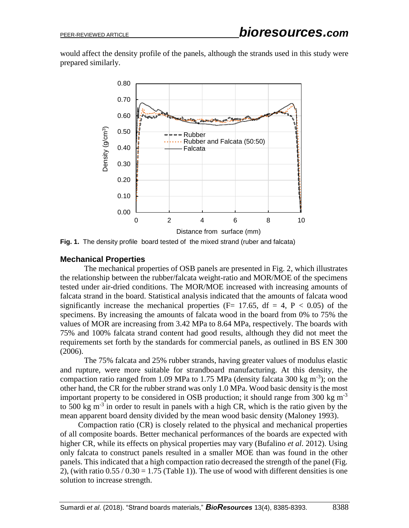would affect the density profile of the panels, although the strands used in this study were prepared similarly.



**Fig. 1.** The density profile board tested of the mixed strand (ruber and falcata)

#### **Mechanical Properties**

The mechanical properties of OSB panels are presented in Fig. 2, which illustrates the relationship between the rubber/falcata weight-ratio and MOR/MOE of the specimens tested under air-dried conditions. The MOR/MOE increased with increasing amounts of falcata strand in the board. Statistical analysis indicated that the amounts of falcata wood significantly increase the mechanical properties ( $F= 17.65$ ,  $df = 4$ ,  $P < 0.05$ ) of the specimens. By increasing the amounts of falcata wood in the board from 0% to 75% the values of MOR are increasing from 3.42 MPa to 8.64 MPa, respectively. The boards with 75% and 100% falcata strand content had good results, although they did not meet the requirements set forth by the standards for commercial panels, as outlined in BS EN 300 (2006).

The 75% falcata and 25% rubber strands, having greater values of modulus elastic and rupture, were more suitable for strandboard manufacturing. At this density, the compaction ratio ranged from 1.09 MPa to 1.75 MPa (density falcata 300 kg m<sup>-3</sup>); on the other hand, the CR for the rubber strand was only 1.0 MPa. Wood basic density is the most important property to be considered in OSB production; it should range from 300 kg  $m^{-3}$ to 500 kg  $m^{-3}$  in order to result in panels with a high CR, which is the ratio given by the mean apparent board density divided by the mean wood basic density (Maloney 1993).

Compaction ratio (CR) is closely related to the physical and mechanical properties of all composite boards. Better mechanical performances of the boards are expected with higher CR, while its effects on physical properties may vary (Bufalino *et al.* 2012). Using only falcata to construct panels resulted in a smaller MOE than was found in the other panels. This indicated that a high compaction ratio decreased the strength of the panel (Fig. 2), (with ratio  $0.55 / 0.30 = 1.75$  (Table 1)). The use of wood with different densities is one solution to increase strength.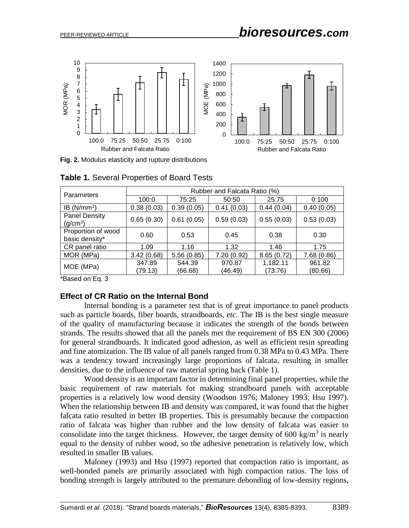

**Fig. 2.** Modulus elasticity and rupture distributions

| <b>Parameters</b>                            | Rubber and Falcata Ratio (%) |                   |                   |                     |                   |  |
|----------------------------------------------|------------------------------|-------------------|-------------------|---------------------|-------------------|--|
|                                              | 100:0                        | 75:25             | 50:50             | 25:75               | 0:100             |  |
| IB $(N/mm2)$                                 | 0.38(0.03)                   | 0.39(0.05)        | 0.41(0.03)        | 0.44(0.04)          | 0.40(0.05)        |  |
| <b>Panel Density</b><br>(g/cm <sup>3</sup> ) | 0.65(0.30)                   | 0.61(0.05)        | 0.59(0.03)        | 0.55(0,03)          | 0.53(0.03)        |  |
| Proportion of wood<br>basic density*         | 0.60                         | 0.53              | 0.45              | 0.38                | 0.30              |  |
| CR panel ratio                               | 1.09                         | 1.16              | 1.32              | 1.46                | 1.75              |  |
| MOR (MPa)                                    | 3.42(0.68)                   | 5.56(0.85)        | 7.20 (0.92)       | 8.65(0.72)          | 7.68 (0.86)       |  |
| MOE (MPa)                                    | 347.89<br>(79.13)            | 544.39<br>(66.68) | 970.87<br>(46.49) | 1,182.11<br>(73.76) | 961.82<br>(80.66) |  |

|  | Table 1. Several Properties of Board Tests |  |
|--|--------------------------------------------|--|
|  |                                            |  |

\*Based on Eq. 3

#### **Effect of CR Ratio on the Internal Bond**

Internal bonding is a parameter test that is of great importance to panel products such as particle boards, fiber boards, strandboards, *etc*. The IB is the best single measure of the quality of manufacturing because it indicates the strength of the bonds between strands. The results showed that all the panels met the requirement of BS EN 300 (2006) for general strandboards. It indicated good adhesion, as well as efficient resin spreading and fine atomization. The IB value of all panels ranged from 0.38 MPa to 0.43 MPa. There was a tendency toward increasingly large proportions of falcata, resulting in smaller densities, due to the influence of raw material spring back (Table 1).

Wood density is an important factor in determining final panel properties, while the basic requirement of raw materials for making strandboard panels with acceptable properties is a relatively low wood density (Woodson 1976; Maloney 1993; Hsu 1997). When the relationship between IB and density was compared, it was found that the higher falcata ratio resulted in better IB properties. This is presumably because the compaction ratio of falcata was higher than rubber and the low density of falcata was easier to consolidate into the target thickness. However, the target density of 600 kg/m<sup>3</sup> is nearly equal to the density of rubber wood, so the adhesive penetration is relatively low, which resulted in smaller IB values.

Maloney (1993) and Hsu (1997) reported that compaction ratio is important, as well-bonded panels are primarily associated with high compaction ratios. The loss of bonding strength is largely attributed to the premature debonding of low-density regions,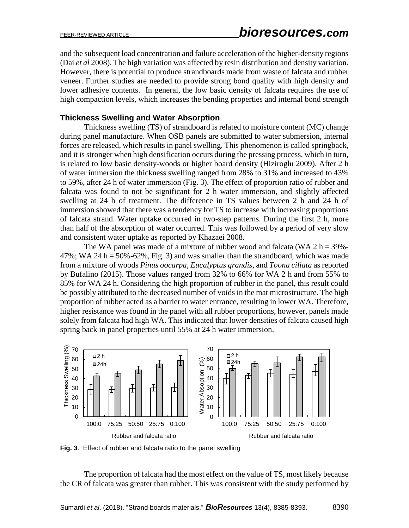and the subsequent load concentration and failure acceleration of the higher-density regions (Dai *et al* 2008). The high variation was affected by resin distribution and density variation. However, there is potential to produce strandboards made from waste of falcata and rubber veneer. Further studies are needed to provide strong bond quality with high density and lower adhesive contents. In general, the low basic density of falcata requires the use of high compaction levels, which increases the bending properties and internal bond strength

### **Thickness Swelling and Water Absorption**

Thickness swelling (TS) of strandboard is related to moisture content (MC) change during panel manufacture. When OSB panels are submitted to water submersion, internal forces are released, which results in panel swelling. This phenomenon is called springback, and it is stronger when high densification occurs during the pressing process, which in turn, is related to low basic density-woods or higher board density (Hiziroglu 2009). After 2 h of water immersion the thickness swelling ranged from 28% to 31% and increased to 43% to 59%, after 24 h of water immersion (Fig. 3). The effect of proportion ratio of rubber and falcata was found to not be significant for 2 h water immersion, and slightly affected swelling at 24 h of treatment. The difference in TS values between 2 h and 24 h of immersion showed that there was a tendency for TS to increase with increasing proportions of falcata strand. Water uptake occurred in two-step patterns. During the first 2 h, more than half of the absorption of water occurred. This was followed by a period of very slow and consistent water uptake as reported by Khazaei 2008.

The WA panel was made of a mixture of rubber wood and falcata (WA  $2 h = 39\%$ - $47\%$ ; WA 24 h = 50%-62%, Fig. 3) and was smaller than the strandboard, which was made from a mixture of woods *Pinus oocarpa*, *Eucalyptus grandis,* and *Toona ciliata* as reported by Bufalino (2015). Those values ranged from 32% to 66% for WA 2 h and from 55% to 85% for WA 24 h. Considering the high proportion of rubber in the panel, this result could be possibly attributed to the decreased number of voids in the mat microstructure. The high proportion of rubber acted as a barrier to water entrance, resulting in lower WA. Therefore, higher resistance was found in the panel with all rubber proportions, however, panels made solely from falcata had high WA. This indicated that lower densities of falcata caused high spring back in panel properties until 55% at 24 h water immersion.



**Fig. 3**. Effect of rubber and falcata ratio to the panel swelling

The proportion of falcata had the most effect on the value of TS, most likely because the CR of falcata was greater than rubber. This was consistent with the study performed by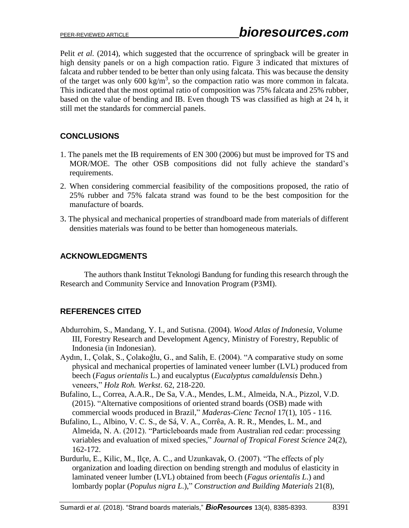Pelit *et al.* (2014), which suggested that the occurrence of springback will be greater in high density panels or on a high compaction ratio. Figure 3 indicated that mixtures of falcata and rubber tended to be better than only using falcata. This was because the density of the target was only 600 kg/m<sup>3</sup>, so the compaction ratio was more common in falcata. This indicated that the most optimal ratio of composition was 75% falcata and 25% rubber, based on the value of bending and IB. Even though TS was classified as high at 24 h, it still met the standards for commercial panels.

## **CONCLUSIONS**

- 1. The panels met the IB requirements of EN 300 (2006) but must be improved for TS and MOR/MOE. The other OSB compositions did not fully achieve the standard's requirements.
- 2. When considering commercial feasibility of the compositions proposed, the ratio of 25% rubber and 75% falcata strand was found to be the best composition for the manufacture of boards.
- 3. The physical and mechanical properties of strandboard made from materials of different densities materials was found to be better than homogeneous materials.

## **ACKNOWLEDGMENTS**

The authors thank Institut Teknologi Bandung for funding this research through the Research and Community Service and Innovation Program (P3MI).

# **REFERENCES CITED**

- Abdurrohim, S., Mandang, Y. I., and Sutisna. (2004). *Wood Atlas of Indonesia*, Volume III, Forestry Research and Development Agency, Ministry of Forestry, Republic of Indonesia (in Indonesian).
- Aydın, I., Çolak, S., Çolakoğlu, G., and Salih, E. (2004). "A comparative study on some physical and mechanical properties of laminated veneer lumber (LVL) produced from beech (*Fagus orientalis* L.) and eucalyptus (*Eucalyptus camaldulensis* Dehn.) veneers," *Holz Roh. Werkst*. 62, 218-220.
- Bufalino, L., Correa, A.A.R., De Sa, V.A., Mendes, L.M., Almeida, N.A., Pizzol, V.D. (2015). "Alternative compositions of oriented strand boards (OSB) made with commercial woods produced in Brazil," *Maderas-Cienc Tecnol* 17(1), 105 - 116.
- Bufalino, L., Albino, V. C. S., de Sá, V. A., Corrêa, A. R. R., Mendes, L. M., and Almeida, N. A. (2012). "Particleboards made from Australian red cedar: processing variables and evaluation of mixed species," *Journal of Tropical Forest Science* 24(2), 162-172.
- Burdurlu, E., Kilic, M., Ilçe, A. C., and Uzunkavak, O. (2007). "The effects of ply organization and loading direction on bending strength and modulus of elasticity in laminated veneer lumber (LVL) obtained from beech (*Fagus orientalis L*.) and lombardy poplar (*Populus nigra L*.)," *Construction and Building Materials* 21(8),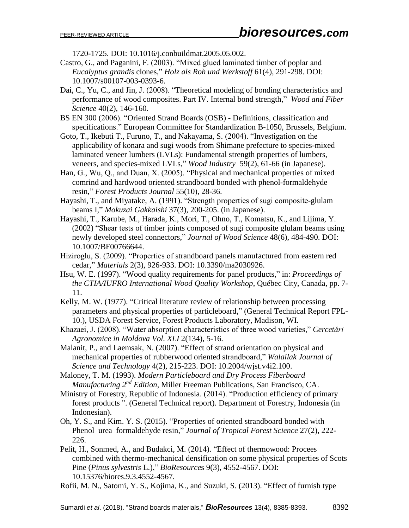1720-1725. DOI: 10.1016/j.conbuildmat.2005.05.002.

- Castro, G., and Paganini, F. (2003). "Mixed glued laminated timber of poplar and *Eucalyptus grandis* clones," *Holz als Roh und Werkstoff* 61(4), 291-298. DOI: 10.1007/s00107-003-0393-6.
- Dai, C., Yu, C., and Jin, J. (2008). "Theoretical modeling of bonding characteristics and performance of wood composites. Part IV. Internal bond strength," *Wood and Fiber Science* 40(2), 146-160.
- BS EN 300 (2006). "Oriented Strand Boards (OSB) Definitions, classification and specifications." European Committee for Standardization B-1050, Brussels, Belgium.
- Goto, T., Ikebuti T., Furuno, T., and Nakayama, S. (2004). "Investigation on the applicability of konara and sugi woods from Shimane prefecture to species-mixed laminated veneer lumbers (LVLs): Fundamental strength properties of lumbers, veneers, and species-mixed LVLs," *Wood Industry* 59(2), 61-66 (in Japanese).
- Han, G., Wu, Q., and Duan, X. (2005). "Physical and mechanical properties of mixed comrind and hardwood oriented strandboard bonded with phenol-formaldehyde resin*,*" *Forest Products Journal* 55(10), 28-36.
- Hayashi, T., and Miyatake, A. (1991). "Strength properties of sugi composite-glulam beams I," *Mokuzai Gakkaishi* 37(3), 200-205. (in Japanese).
- Hayashi, T., Karube, M., Harada, K., Mori, T., Ohno, T., Komatsu, K., and Lijima, Y. (2002) "Shear tests of timber joints composed of sugi composite glulam beams using newly developed steel connectors," *Journal of Wood Science* 48(6), 484-490. DOI: 10.1007/BF00766644.
- Hiziroglu, S. (2009). "Properties of strandboard panels manufactured from eastern red cedar," *Materials* 2(3), 926-933. DOI: 10.3390/ma2030926.
- Hsu, W. E. (1997). "Wood quality requirements for panel products," in: *Proceedings of the CTIA/IUFRO International Wood Quality Workshop*, Québec City, Canada, pp. 7- 11.
- Kelly, M. W. (1977). "Critical literature review of relationship between processing parameters and physical properties of particleboard," (General Technical Report FPL-10.), USDA Forest Service*,* Forest Products Laboratory, Madison, WI.
- Khazaei, J. (2008). "Water absorption characteristics of three wood varieties," *Cercetări Agronomice in Moldova Vol. XLI* 2(134), 5-16.
- Malanit, P., and Laemsak, N. (2007). "Effect of strand orientation on physical and mechanical properties of rubberwood oriented strandboard," *Walailak Journal of Science and Technology* 4(2), 215-223. DOI: 10.2004/wjst.v4i2.100.
- Maloney, T. M. (1993). *Modern Particleboard and Dry Process Fiberboard Manufacturing*  $2^{nd}$  *Edition*, Miller Freeman Publications, San Francisco, CA.
- Ministry of Forestry, Republic of Indonesia. (2014). "Production efficiency of primary forest products ". (General Technical report). Department of Forestry, Indonesia (in Indonesian).
- Oh, Y. S., and Kim. Y. S. (2015). "Properties of oriented strandboard bonded with Phenol–urea–formaldehyde resin," *Journal of Tropical Forest Science* 27(2), 222- 226.
- Pelit, H., Sonmed, A., and Budakci, M. (2014). "Effect of thermowood: Procees combined with thermo-mechanical densification on some physical properties of Scots Pine (*Pinus sylvestris* L.)," *BioResource*s 9(3), 4552-4567. DOI: 10.15376/biores.9.3.4552-4567.
- Rofii, M. N., Satomi, Y. S., Kojima, K., and Suzuki, S. (2013). "Effect of furnish type